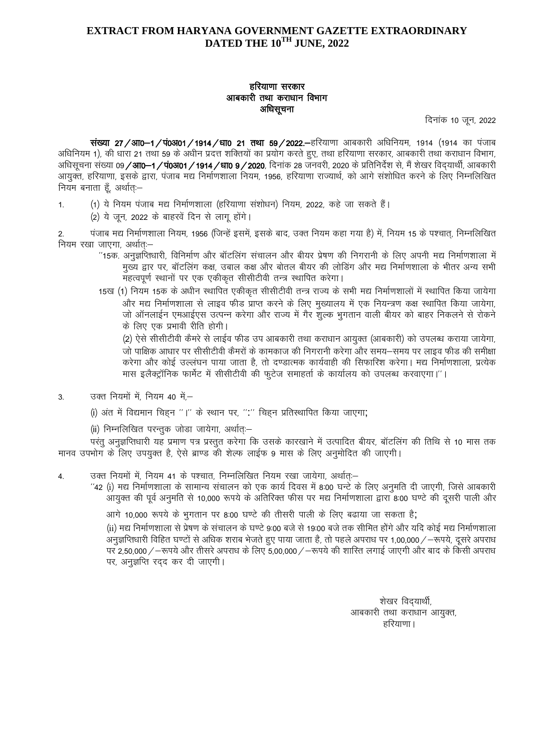## **EXTRACT FROM HARYANA GOVERNMENT GAZETTE EXTRAORDINARY DATED THE 10TH JUNE, 2022**

## हरियाणा सरकार आबकारी तथा कराधान विभाग अधिसूचना

दिनांक 10 जून, 2022

संख्या 27/आ0-1/पं0अ01/1914/धा0 21 तथा 59/2022. हरियाणा आबकारी अधिनियम, 1914 (1914 का पंजाब अधिनियम 1), की धारा 21 तथा 59 के अधीन प्रदत्त शक्तियों का प्रयोग करते हुए, तथा हरियाणा सरकार, आबकारी तथा कराधान विभाग, अधिसूचना संख्या 09 **/ आ0–1 / पं0अ01 / 1914 / धा0 9 / 2020**, दिनाक 28 जनवरी, 2020 के प्रतिनिर्देश से, मैं शेखर विदयार्थी, आबकारी आयुक्त, हरियाणा, इसके द्वारा, पंजाब मद्य निर्माणशाला नियम, 1956, हरियाणा राज्यार्थ, को आगे संशोधित करने के लिए निम्नलिखित नियम बनाता हूँ, अर्थात्ः–

- 1. (1) ये नियम पंजाब मद्य निर्माणशाला (हरियाणा संशोधन) नियम, 2022, कहे जा सकते हैं।
	- (2) ये जून, 2022 के बाहरवें दिन से लागू होंगे।

2. पंजाब मद्य निर्माणशाला नियम, 1956 (जिन्हें इसमें, इसके बाद, उक्त नियम कहा गया है) में, नियम 15 के पश्चात, निम्नलिखित नियम रखा जाएगा, अर्थातः-

- $^\prime$ 15क. अनुज्ञप्तिधारी, विनिर्माण और बॉटलिंग संचालन और बीयर प्रेषण की निगरानी के लिए अपनी मद्य निर्माणशाला में मुख्य द्वार पर, बॉटलिंग कक्ष, उबाल कक्ष और बोतल बीयर की लोडिंग और मद्य निर्माणशाला के भीतर अन्य सभी महत्वपूर्ण स्थानों पर एक एकीकृत सीसीटीवी तन्त्र स्थापित करेगा।
- 15ख (1) नियम 15क के अधीन स्थापित एकीकृत सीसीटीवी तन्त्र राज्य के सभी मद्य निर्माणशालों में स्थापित किया जायेगा और मद्य निर्माणशाला से लाइव फीड प्राप्त करने के लिए मुख्यालय में एक नियन्त्रण कक्ष स्थापित किया जायेगा, जो ऑनलाईन एमआईएस उत्पन्न करेगा और राज्य में गैर शुल्क भूगतान वाली बीयर को बाहर निकलने से रोकने के लिए एक प्रभावी रीति होगी।

(2) ऐसे सीसीटीवी कैमरे से लाईव फीड उप आबकारी तथा कराधान आयुक्त (आबकारी) को उपलब्ध कराया जायेगा, जो पाक्षिक आधार पर सीसीटीवी कैमरों के कामकाज की निगरानी करेगा और समय—समय पर लाइव फीड की समीक्षा करेगा और कोई उल्लंघन पाया जाता है, तो दण्डात्मक कार्यवाही की सिफारिश करेगा। मद्य निर्माणशाला, प्रत्येक मास इलैक्ट्रॉनिक फार्मेट में सीसीटीवी की फुटेज समाहर्ता के कार्यालय को उपलब्ध करवाएगा।''।

 $3.$  उक्त नियमों में, नियम 40 में,-

(i) अंत में विद्यमान चिह्न "।" के स्थान पर, ":" चिह्न प्रतिस्थापित किया जाएगा;

(ii) निम्नलिखित परन्तुक जोडा जायेगा, अर्थात्ः–

परंतु अनुज्ञप्तिधारी यह प्रमाण पत्र प्रस्तुत करेगा कि उसके कारखाने में उत्पादित बीयर, बॉटलिंग की तिथि से 10 मास तक मानव उपभोग के लिए उपयुक्त है, ऐसे ब्राण्ड की शेल्फ लाईफ 9 मास के लिए अनुमोदित की जाएगी।

- 4. व्याद्य को जियमों में, नियम 41 के पश्चात, निम्नलिखित नियम रखा जायेगा, अर्थात:-
	- $^{\prime\prime}$ 42 (i) मद्य निर्माणशाला के सामान्य संचालन को एक कार्य दिवस में 8:00 घन्टे के लिए अनमति दी जाएगी. जिसे आबकारी आयुक्त की पूर्व अनुमति से 10,000 रूपये के अतिरिक्त फीस पर मद्य निर्माणशाला द्वारा 8:00 घण्टे की दूसरी पाली और

आगे 10,000 रूपये के भुगतान पर 8:00 घण्टे की तीसरी पाली के लिए बढाया जा सकता है;

(ii) मद्य निर्माणशाला से प्रेषण के संचालन के घण्टे 9:00 बजे से 19:00 बजे तक सीमित होंगे और यदि कोई मद्य निर्माणशाला अनुज्ञप्तिधारी विहित घण्टों से अधिक शराब भेजते हुए पाया जाता है, तो पहले अपराध पर 1,00,000 / –रूपये, दुसरे अपराध पर 2,50,000 / –रूपये और तीसरे अपराध के लिए 5,00,000 / –रूपये की शास्ति लगाई जाएगी और बाद के किसी अपराध पर, अनुज्ञप्ति रदद कर दी जाएगी।

शेखर विद्यार्थी, आबकारी तथा कराधान आयक्त.  $\epsilon_{\rm eff}$ का सामग्रीहरूको अधिकारिक सामग्रीहरूको अधिकारिक सामग्रीहरूको अधिकारिक सामग्रीहरूको अधिकारिक स